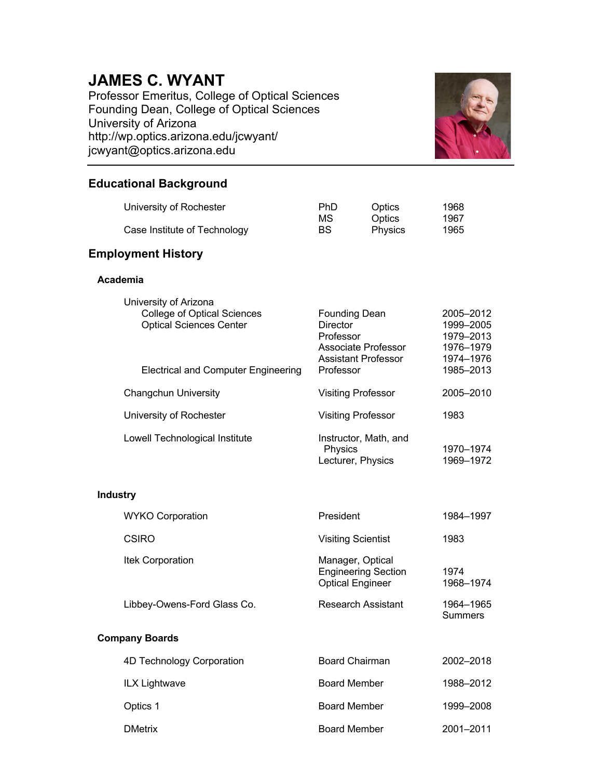# **JAMES C. WYANT**

Professor Emeritus, College of Optical Sciences Founding Dean, College of Optical Sciences University of Arizona http://wp.optics.arizona.edu/jcwyant/ jcwyant@optics.arizona.edu



# **Educational Background**

| University of Rochester      | PhD | Optics  | 1968 |
|------------------------------|-----|---------|------|
|                              | МS  | Optics  | 1967 |
| Case Institute of Technology | BS  | Physics | 1965 |

# **Employment History**

## **Academia**

| University of Arizona                      |                            |           |
|--------------------------------------------|----------------------------|-----------|
| <b>College of Optical Sciences</b>         | <b>Founding Dean</b>       | 2005-2012 |
| <b>Optical Sciences Center</b>             | Director                   | 1999-2005 |
|                                            | Professor                  | 1979-2013 |
|                                            | Associate Professor        | 1976-1979 |
|                                            | <b>Assistant Professor</b> | 1974-1976 |
| <b>Electrical and Computer Engineering</b> | Professor                  | 1985-2013 |
| <b>Changchun University</b>                | <b>Visiting Professor</b>  | 2005-2010 |
| University of Rochester                    | <b>Visiting Professor</b>  | 1983      |
|                                            |                            |           |
| Lowell Technological Institute             | Instructor, Math, and      |           |
|                                            | <b>Physics</b>             | 1970-1974 |

# **Industry**

| <b>WYKO Corporation</b>     | President                                                                 | 1984–1997                   |
|-----------------------------|---------------------------------------------------------------------------|-----------------------------|
| <b>CSIRO</b>                | <b>Visiting Scientist</b>                                                 | 1983                        |
| Itek Corporation            | Manager, Optical<br><b>Engineering Section</b><br><b>Optical Engineer</b> | 1974<br>1968-1974           |
| Libbey-Owens-Ford Glass Co. | Research Assistant                                                        | 1964-1965<br><b>Summers</b> |
| <b>Company Boards</b>       |                                                                           |                             |
| 4D Technology Corporation   | <b>Board Chairman</b>                                                     | 2002-2018                   |
| ILX Lightwave               | <b>Board Member</b>                                                       | 1988-2012                   |
| Optics 1                    | <b>Board Member</b>                                                       | 1999-2008                   |
| <b>DMetrix</b>              | <b>Board Member</b>                                                       | 2001-2011                   |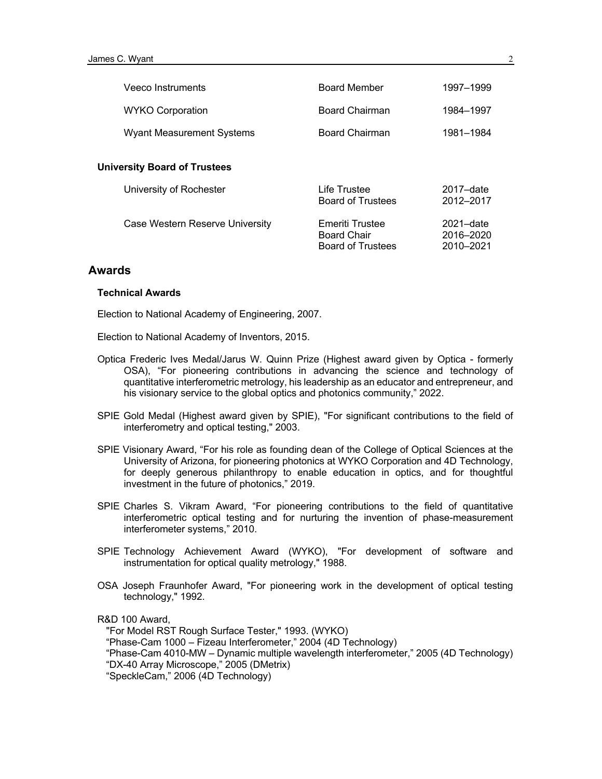| Veeco Instruments                   | <b>Board Member</b>                                                      | 1997-1999                               |
|-------------------------------------|--------------------------------------------------------------------------|-----------------------------------------|
| <b>WYKO Corporation</b>             | Board Chairman                                                           | 1984-1997                               |
| <b>Wyant Measurement Systems</b>    | Board Chairman                                                           | 1981-1984                               |
| <b>University Board of Trustees</b> |                                                                          |                                         |
| University of Rochester             | Life Trustee<br><b>Board of Trustees</b>                                 | $2017 - date$<br>2012-2017              |
| Case Western Reserve University     | <b>Emeriti Trustee</b><br><b>Board Chair</b><br><b>Board of Trustees</b> | $2021 - date$<br>2016-2020<br>2010-2021 |

#### **Awards**

#### **Technical Awards**

Election to National Academy of Engineering, 2007.

Election to National Academy of Inventors, 2015.

- Optica Frederic Ives Medal/Jarus W. Quinn Prize (Highest award given by Optica formerly OSA), "For pioneering contributions in advancing the science and technology of quantitative interferometric metrology, his leadership as an educator and entrepreneur, and his visionary service to the global optics and photonics community," 2022.
- SPIE Gold Medal (Highest award given by SPIE), "For significant contributions to the field of interferometry and optical testing," 2003.
- SPIE Visionary Award, "For his role as founding dean of the College of Optical Sciences at the University of Arizona, for pioneering photonics at WYKO Corporation and 4D Technology, for deeply generous philanthropy to enable education in optics, and for thoughtful investment in the future of photonics," 2019.
- SPIE Charles S. Vikram Award, "For pioneering contributions to the field of quantitative interferometric optical testing and for nurturing the invention of phase-measurement interferometer systems," 2010.
- SPIE Technology Achievement Award (WYKO), "For development of software and instrumentation for optical quality metrology," 1988.
- OSA Joseph Fraunhofer Award, "For pioneering work in the development of optical testing technology," 1992.

R&D 100 Award, "For Model RST Rough Surface Tester," 1993. (WYKO) "Phase-Cam 1000 – Fizeau Interferometer," 2004 (4D Technology) "Phase-Cam 4010-MW – Dynamic multiple wavelength interferometer," 2005 (4D Technology) "DX-40 Array Microscope," 2005 (DMetrix) "SpeckleCam," 2006 (4D Technology)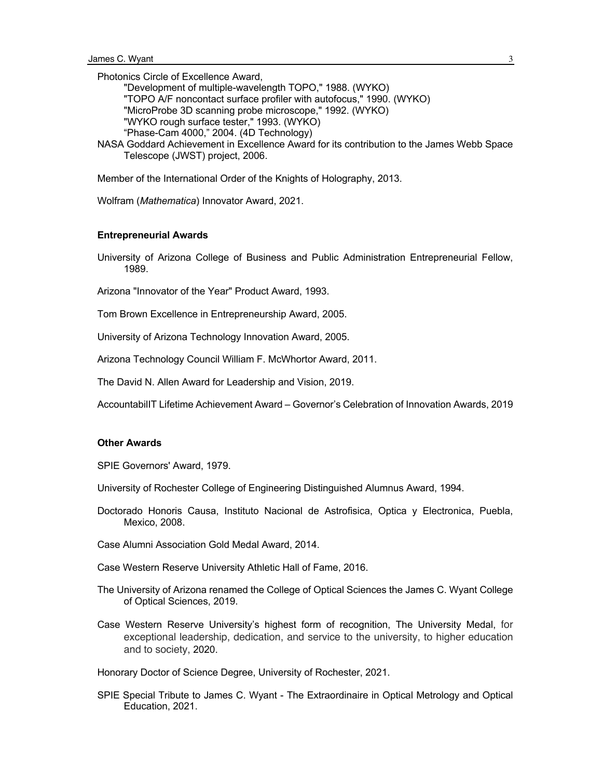Photonics Circle of Excellence Award,

"Development of multiple-wavelength TOPO," 1988. (WYKO)

"TOPO A/F noncontact surface profiler with autofocus," 1990. (WYKO)

"MicroProbe 3D scanning probe microscope," 1992. (WYKO)

"WYKO rough surface tester," 1993. (WYKO)

"Phase-Cam 4000," 2004. (4D Technology)

NASA Goddard Achievement in Excellence Award for its contribution to the James Webb Space Telescope (JWST) project, 2006.

Member of the International Order of the Knights of Holography, 2013.

Wolfram (*Mathematica*) Innovator Award, 2021.

#### **Entrepreneurial Awards**

University of Arizona College of Business and Public Administration Entrepreneurial Fellow, 1989.

Arizona "Innovator of the Year" Product Award, 1993.

Tom Brown Excellence in Entrepreneurship Award, 2005.

University of Arizona Technology Innovation Award, 2005.

Arizona Technology Council William F. McWhortor Award, 2011.

The David N. Allen Award for Leadership and Vision, 2019.

AccountabilIT Lifetime Achievement Award – Governor's Celebration of Innovation Awards, 2019

#### **Other Awards**

SPIE Governors' Award, 1979.

University of Rochester College of Engineering Distinguished Alumnus Award, 1994.

- Doctorado Honoris Causa, Instituto Nacional de Astrofisica, Optica y Electronica, Puebla, Mexico, 2008.
- Case Alumni Association Gold Medal Award, 2014.
- Case Western Reserve University Athletic Hall of Fame, 2016.
- The University of Arizona renamed the College of Optical Sciences the James C. Wyant College of Optical Sciences, 2019.
- Case Western Reserve University's highest form of recognition, The University Medal, for exceptional leadership, dedication, and service to the university, to higher education and to society, 2020.

Honorary Doctor of Science Degree, University of Rochester, 2021.

SPIE Special Tribute to James C. Wyant - The Extraordinaire in Optical Metrology and Optical Education, 2021.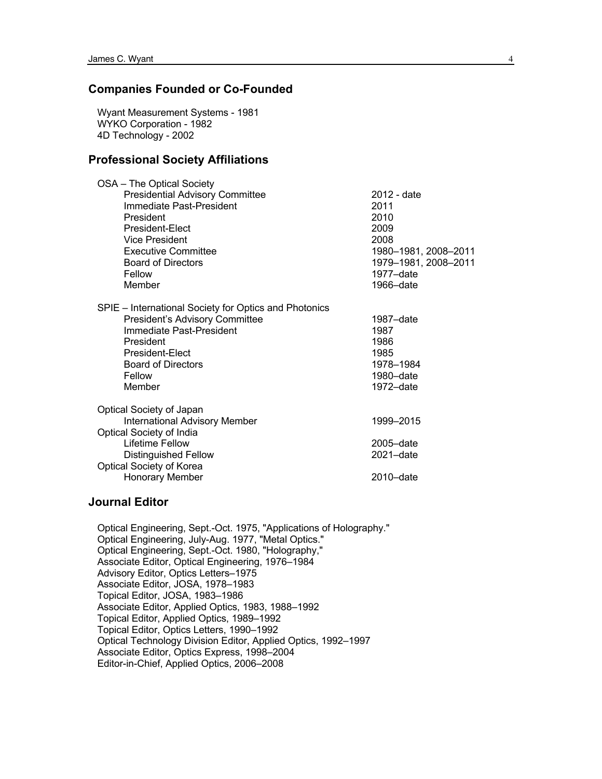# **Companies Founded or Co-Founded**

Wyant Measurement Systems - 1981 WYKO Corporation - 1982 4D Technology - 2002

### **Professional Society Affiliations**

| OSA - The Optical Society                             |                      |
|-------------------------------------------------------|----------------------|
| <b>Presidential Advisory Committee</b>                | 2012 - date          |
| Immediate Past-President                              | 2011                 |
| President                                             | 2010                 |
| President-Elect                                       | 2009                 |
| Vice President                                        | 2008                 |
| <b>Executive Committee</b>                            | 1980-1981, 2008-2011 |
| <b>Board of Directors</b>                             | 1979-1981, 2008-2011 |
| Fellow                                                | 1977-date            |
| Member                                                | 1966-date            |
| SPIE – International Society for Optics and Photonics |                      |
| President's Advisory Committee                        | 1987–date            |
| Immediate Past-President                              | 1987                 |
| President                                             | 1986                 |
| President-Elect                                       | 1985                 |
| <b>Board of Directors</b>                             | 1978-1984            |
| Fellow                                                | 1980-date            |
| Member                                                | 1972-date            |
| Optical Society of Japan                              |                      |
| <b>International Advisory Member</b>                  | 1999-2015            |
| Optical Society of India                              |                      |
| Lifetime Fellow                                       | 2005-date            |
| <b>Distinguished Fellow</b>                           | $2021 - date$        |
| Optical Society of Korea                              |                      |
| Honorary Member                                       | 2010-date            |
|                                                       |                      |

#### **Journal Editor**

Optical Engineering, Sept.-Oct. 1975, "Applications of Holography." Optical Engineering, July-Aug. 1977, "Metal Optics." Optical Engineering, Sept.-Oct. 1980, "Holography," Associate Editor, Optical Engineering, 1976–1984 Advisory Editor, Optics Letters–1975 Associate Editor, JOSA, 1978–1983 Topical Editor, JOSA, 1983–1986 Associate Editor, Applied Optics, 1983, 1988–1992 Topical Editor, Applied Optics, 1989–1992 Topical Editor, Optics Letters, 1990–1992 Optical Technology Division Editor, Applied Optics, 1992–1997 Associate Editor, Optics Express, 1998–2004 Editor-in-Chief, Applied Optics, 2006–2008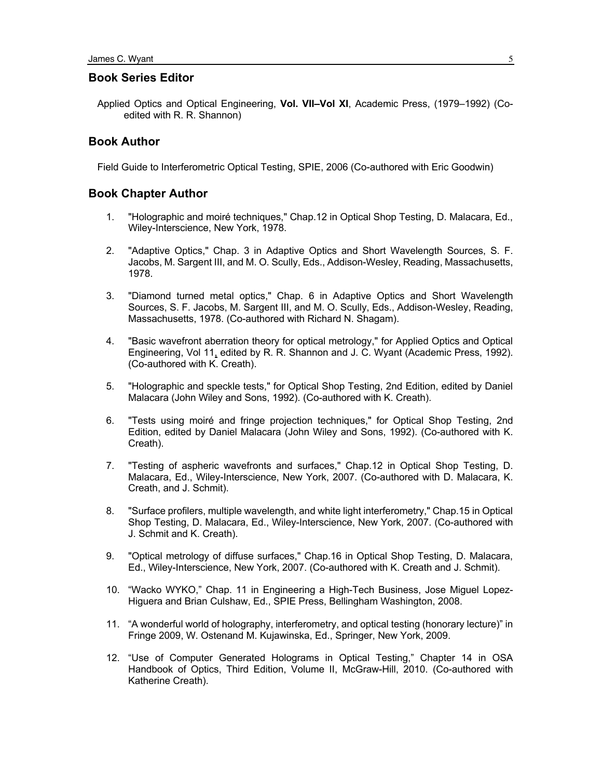## **Book Series Editor**

Applied Optics and Optical Engineering, **Vol. VII–Vol XI**, Academic Press, (1979–1992) (Coedited with R. R. Shannon)

#### **Book Author**

Field Guide to Interferometric Optical Testing, SPIE, 2006 (Co-authored with Eric Goodwin)

#### **Book Chapter Author**

- 1. "Holographic and moiré techniques," Chap.12 in Optical Shop Testing, D. Malacara, Ed., Wiley-Interscience, New York, 1978.
- 2. "Adaptive Optics," Chap. 3 in Adaptive Optics and Short Wavelength Sources, S. F. Jacobs, M. Sargent III, and M. O. Scully, Eds., Addison-Wesley, Reading, Massachusetts, 1978.
- 3. "Diamond turned metal optics," Chap. 6 in Adaptive Optics and Short Wavelength Sources, S. F. Jacobs, M. Sargent III, and M. O. Scully, Eds., Addison-Wesley, Reading, Massachusetts, 1978. (Co-authored with Richard N. Shagam).
- 4. "Basic wavefront aberration theory for optical metrology," for Applied Optics and Optical Engineering, Vol 11, edited by R. R. Shannon and J. C. Wyant (Academic Press, 1992). (Co-authored with K. Creath).
- 5. "Holographic and speckle tests," for Optical Shop Testing, 2nd Edition, edited by Daniel Malacara (John Wiley and Sons, 1992). (Co-authored with K. Creath).
- 6. "Tests using moiré and fringe projection techniques," for Optical Shop Testing, 2nd Edition, edited by Daniel Malacara (John Wiley and Sons, 1992). (Co-authored with K. Creath).
- 7. "Testing of aspheric wavefronts and surfaces," Chap.12 in Optical Shop Testing, D. Malacara, Ed., Wiley-Interscience, New York, 2007. (Co-authored with D. Malacara, K. Creath, and J. Schmit).
- 8. "Surface profilers, multiple wavelength, and white light interferometry," Chap.15 in Optical Shop Testing, D. Malacara, Ed., Wiley-Interscience, New York, 2007. (Co-authored with J. Schmit and K. Creath).
- 9. "Optical metrology of diffuse surfaces," Chap.16 in Optical Shop Testing, D. Malacara, Ed., Wiley-Interscience, New York, 2007. (Co-authored with K. Creath and J. Schmit).
- 10. "Wacko WYKO," Chap. 11 in Engineering a High-Tech Business, Jose Miguel Lopez-Higuera and Brian Culshaw, Ed., SPIE Press, Bellingham Washington, 2008.
- 11. "A wonderful world of holography, interferometry, and optical testing (honorary lecture)" in Fringe 2009, W. Ostenand M. Kujawinska, Ed., Springer, New York, 2009.
- 12. "Use of Computer Generated Holograms in Optical Testing," Chapter 14 in OSA Handbook of Optics, Third Edition, Volume II, McGraw-Hill, 2010. (Co-authored with Katherine Creath).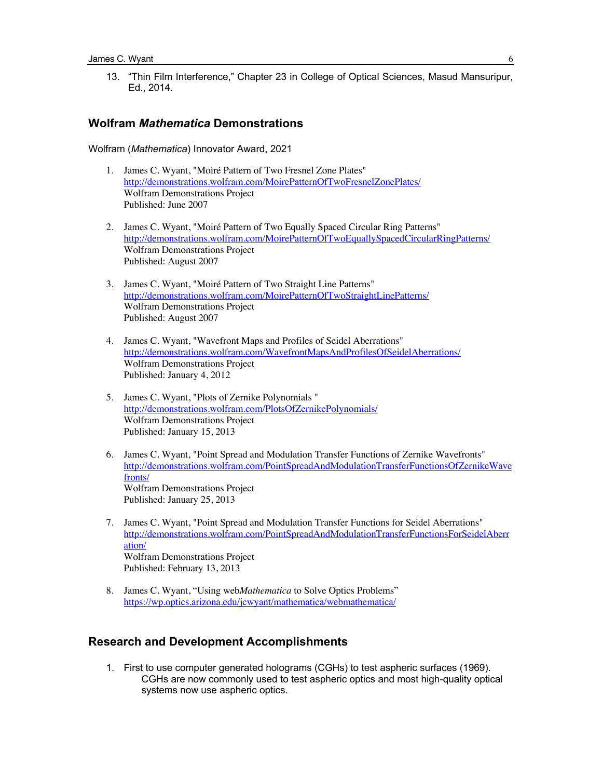13. "Thin Film Interference," Chapter 23 in College of Optical Sciences, Masud Mansuripur, Ed., 2014.

#### **Wolfram** *Mathematica* **Demonstrations**

Wolfram (*Mathematica*) Innovator Award, 2021

- 1. James C. Wyant, "Moiré Pattern of Two Fresnel Zone Plates" http://demonstrations.wolfram.com/MoirePatternOfTwoFresnelZonePlates/ Wolfram Demonstrations Project Published: June 2007
- 2. James C. Wyant, "Moiré Pattern of Two Equally Spaced Circular Ring Patterns" http://demonstrations.wolfram.com/MoirePatternOfTwoEquallySpacedCircularRingPatterns/ Wolfram Demonstrations Project Published: August 2007
- 3. James C. Wyant, "Moiré Pattern of Two Straight Line Patterns" http://demonstrations.wolfram.com/MoirePatternOfTwoStraightLinePatterns/ Wolfram Demonstrations Project Published: August 2007
- 4. James C. Wyant, "Wavefront Maps and Profiles of Seidel Aberrations" http://demonstrations.wolfram.com/WavefrontMapsAndProfilesOfSeidelAberrations/ Wolfram Demonstrations Project Published: January 4, 2012
- 5. James C. Wyant, "Plots of Zernike Polynomials " http://demonstrations.wolfram.com/PlotsOfZernikePolynomials/ Wolfram Demonstrations Project Published: January 15, 2013
- 6. James C. Wyant, "Point Spread and Modulation Transfer Functions of Zernike Wavefronts" http://demonstrations.wolfram.com/PointSpreadAndModulationTransferFunctionsOfZernikeWave fronts/ Wolfram Demonstrations Project Published: January 25, 2013
- 7. James C. Wyant, "Point Spread and Modulation Transfer Functions for Seidel Aberrations" http://demonstrations.wolfram.com/PointSpreadAndModulationTransferFunctionsForSeidelAberr ation/ Wolfram Demonstrations Project Published: February 13, 2013
- 8. James C. Wyant, "Using web*Mathematica* to Solve Optics Problems" https://wp.optics.arizona.edu/jcwyant/mathematica/webmathematica/

#### **Research and Development Accomplishments**

1. First to use computer generated holograms (CGHs) to test aspheric surfaces (1969). CGHs are now commonly used to test aspheric optics and most high-quality optical systems now use aspheric optics.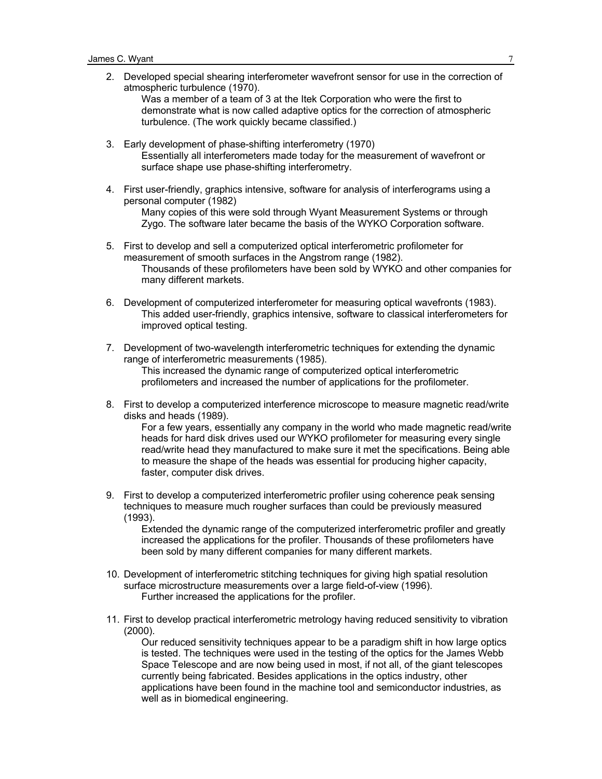2. Developed special shearing interferometer wavefront sensor for use in the correction of atmospheric turbulence (1970).

Was a member of a team of 3 at the Itek Corporation who were the first to demonstrate what is now called adaptive optics for the correction of atmospheric turbulence. (The work quickly became classified.)

- 3. Early development of phase-shifting interferometry (1970) Essentially all interferometers made today for the measurement of wavefront or surface shape use phase-shifting interferometry.
- 4. First user-friendly, graphics intensive, software for analysis of interferograms using a personal computer (1982) Many copies of this were sold through Wyant Measurement Systems or through Zygo. The software later became the basis of the WYKO Corporation software.
- 5. First to develop and sell a computerized optical interferometric profilometer for measurement of smooth surfaces in the Angstrom range (1982). Thousands of these profilometers have been sold by WYKO and other companies for many different markets.
- 6. Development of computerized interferometer for measuring optical wavefronts (1983). This added user-friendly, graphics intensive, software to classical interferometers for improved optical testing.
- 7. Development of two-wavelength interferometric techniques for extending the dynamic range of interferometric measurements (1985). This increased the dynamic range of computerized optical interferometric profilometers and increased the number of applications for the profilometer.
- 8. First to develop a computerized interference microscope to measure magnetic read/write disks and heads (1989).

For a few years, essentially any company in the world who made magnetic read/write heads for hard disk drives used our WYKO profilometer for measuring every single read/write head they manufactured to make sure it met the specifications. Being able to measure the shape of the heads was essential for producing higher capacity, faster, computer disk drives.

9. First to develop a computerized interferometric profiler using coherence peak sensing techniques to measure much rougher surfaces than could be previously measured (1993).

Extended the dynamic range of the computerized interferometric profiler and greatly increased the applications for the profiler. Thousands of these profilometers have been sold by many different companies for many different markets.

- 10. Development of interferometric stitching techniques for giving high spatial resolution surface microstructure measurements over a large field-of-view (1996). Further increased the applications for the profiler.
- 11. First to develop practical interferometric metrology having reduced sensitivity to vibration (2000).

Our reduced sensitivity techniques appear to be a paradigm shift in how large optics is tested. The techniques were used in the testing of the optics for the James Webb Space Telescope and are now being used in most, if not all, of the giant telescopes currently being fabricated. Besides applications in the optics industry, other applications have been found in the machine tool and semiconductor industries, as well as in biomedical engineering.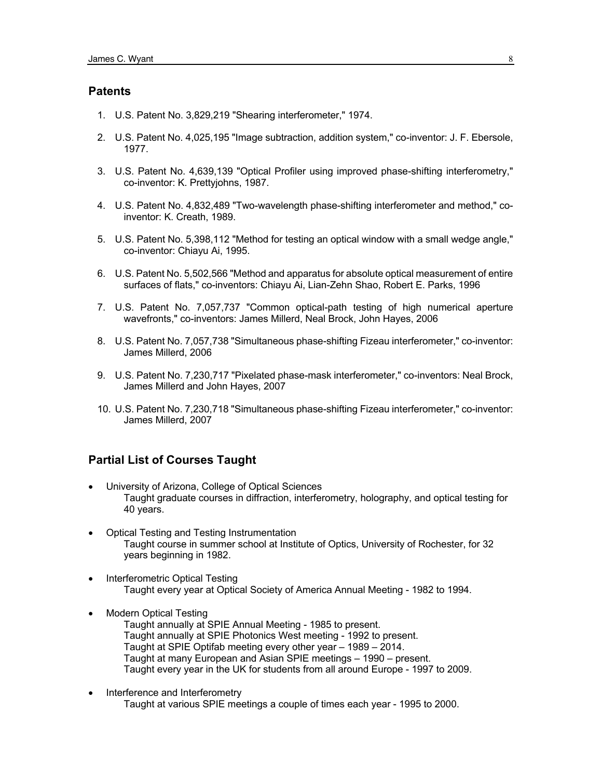## **Patents**

- 1. U.S. Patent No. 3,829,219 "Shearing interferometer," 1974.
- 2. U.S. Patent No. 4,025,195 "Image subtraction, addition system," co-inventor: J. F. Ebersole, 1977.
- 3. U.S. Patent No. 4,639,139 "Optical Profiler using improved phase-shifting interferometry," co-inventor: K. Prettyjohns, 1987.
- 4. U.S. Patent No. 4,832,489 "Two-wavelength phase-shifting interferometer and method," coinventor: K. Creath, 1989.
- 5. U.S. Patent No. 5,398,112 "Method for testing an optical window with a small wedge angle," co-inventor: Chiayu Ai, 1995.
- 6. U.S. Patent No. 5,502,566 "Method and apparatus for absolute optical measurement of entire surfaces of flats," co-inventors: Chiayu Ai, Lian-Zehn Shao, Robert E. Parks, 1996
- 7. U.S. Patent No. 7,057,737 "Common optical-path testing of high numerical aperture wavefronts," co-inventors: James Millerd, Neal Brock, John Hayes, 2006
- 8. U.S. Patent No. 7,057,738 "Simultaneous phase-shifting Fizeau interferometer," co-inventor: James Millerd, 2006
- 9. U.S. Patent No. 7,230,717 "Pixelated phase-mask interferometer," co-inventors: Neal Brock, James Millerd and John Hayes, 2007
- 10. U.S. Patent No. 7,230,718 "Simultaneous phase-shifting Fizeau interferometer," co-inventor: James Millerd, 2007

# **Partial List of Courses Taught**

- University of Arizona, College of Optical Sciences Taught graduate courses in diffraction, interferometry, holography, and optical testing for 40 years.
- Optical Testing and Testing Instrumentation Taught course in summer school at Institute of Optics, University of Rochester, for 32 years beginning in 1982.
- Interferometric Optical Testing Taught every year at Optical Society of America Annual Meeting - 1982 to 1994.
- Modern Optical Testing Taught annually at SPIE Annual Meeting - 1985 to present. Taught annually at SPIE Photonics West meeting - 1992 to present. Taught at SPIE Optifab meeting every other year – 1989 – 2014. Taught at many European and Asian SPIE meetings – 1990 – present. Taught every year in the UK for students from all around Europe - 1997 to 2009.
- Interference and Interferometry Taught at various SPIE meetings a couple of times each year - 1995 to 2000.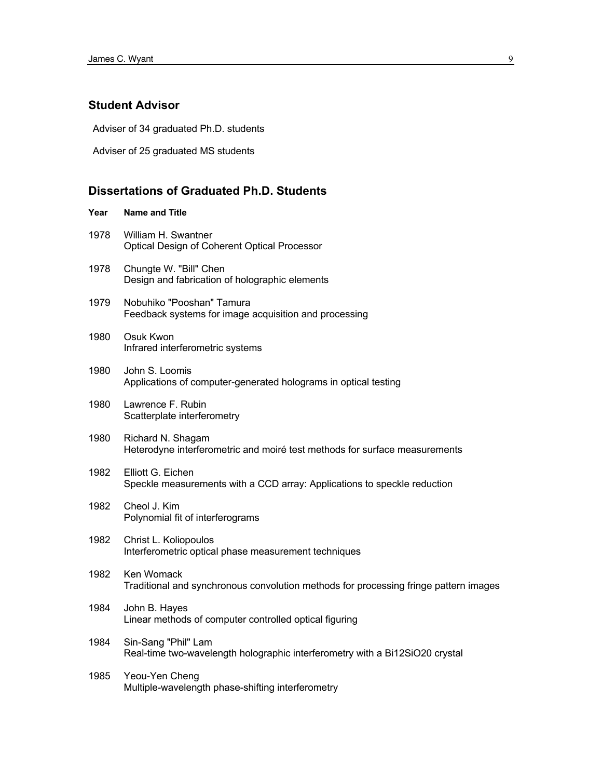## **Student Advisor**

Adviser of 34 graduated Ph.D. students

Adviser of 25 graduated MS students

## **Dissertations of Graduated Ph.D. Students**

# **Year Name and Title** 1978 William H. Swantner Optical Design of Coherent Optical Processor

- 1978 Chungte W. "Bill" Chen Design and fabrication of holographic elements
- 1979 Nobuhiko "Pooshan" Tamura Feedback systems for image acquisition and processing

#### 1980 Osuk Kwon Infrared interferometric systems

- 1980 John S. Loomis Applications of computer-generated holograms in optical testing
- 1980 Lawrence F. Rubin Scatterplate interferometry
- 1980 Richard N. Shagam Heterodyne interferometric and moiré test methods for surface measurements
- 1982 Elliott G. Eichen Speckle measurements with a CCD array: Applications to speckle reduction
- 1982 Cheol J. Kim Polynomial fit of interferograms
- 1982 Christ L. Koliopoulos Interferometric optical phase measurement techniques
- 1982 Ken Womack Traditional and synchronous convolution methods for processing fringe pattern images
- 1984 John B. Hayes Linear methods of computer controlled optical figuring
- 1984 Sin-Sang "Phil" Lam Real-time two-wavelength holographic interferometry with a Bi12SiO20 crystal
- 1985 Yeou-Yen Cheng Multiple-wavelength phase-shifting interferometry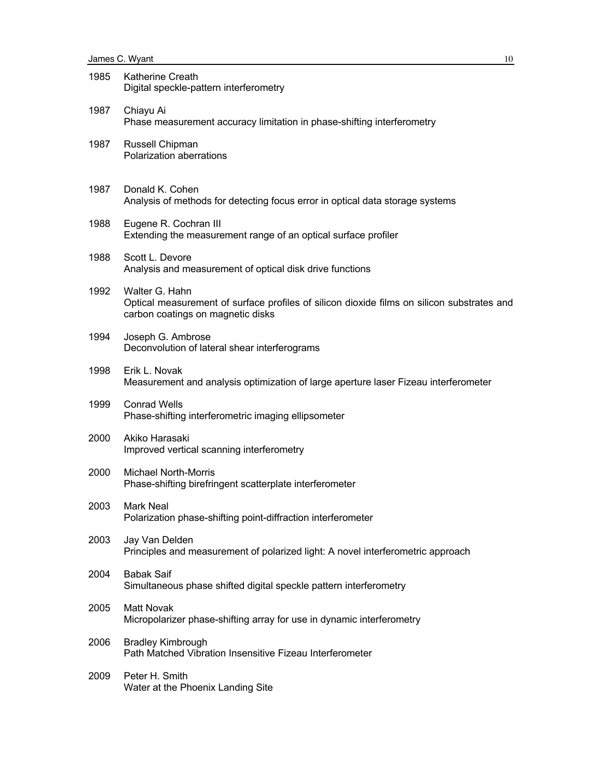| 1985 | Katherine Creath<br>Digital speckle-pattern interferometry                                                                                        |
|------|---------------------------------------------------------------------------------------------------------------------------------------------------|
| 1987 | Chiayu Ai<br>Phase measurement accuracy limitation in phase-shifting interferometry                                                               |
| 1987 | Russell Chipman<br>Polarization aberrations                                                                                                       |
| 1987 | Donald K. Cohen<br>Analysis of methods for detecting focus error in optical data storage systems                                                  |
| 1988 | Eugene R. Cochran III<br>Extending the measurement range of an optical surface profiler                                                           |
| 1988 | Scott L. Devore<br>Analysis and measurement of optical disk drive functions                                                                       |
| 1992 | Walter G. Hahn<br>Optical measurement of surface profiles of silicon dioxide films on silicon substrates and<br>carbon coatings on magnetic disks |
| 1994 | Joseph G. Ambrose<br>Deconvolution of lateral shear interferograms                                                                                |
| 1998 | Erik L. Novak<br>Measurement and analysis optimization of large aperture laser Fizeau interferometer                                              |
| 1999 | <b>Conrad Wells</b><br>Phase-shifting interferometric imaging ellipsometer                                                                        |
| 2000 | Akiko Harasaki<br>Improved vertical scanning interferometry                                                                                       |
| 2000 | <b>Michael North-Morris</b><br>Phase-shifting birefringent scatterplate interferometer                                                            |
| 2003 | Mark Neal<br>Polarization phase-shifting point-diffraction interferometer                                                                         |
| 2003 | Jay Van Delden<br>Principles and measurement of polarized light: A novel interferometric approach                                                 |
| 2004 | <b>Babak Saif</b><br>Simultaneous phase shifted digital speckle pattern interferometry                                                            |
| 2005 | <b>Matt Novak</b><br>Micropolarizer phase-shifting array for use in dynamic interferometry                                                        |
| 2006 | <b>Bradley Kimbrough</b><br>Path Matched Vibration Insensitive Fizeau Interferometer                                                              |
| 2009 | Peter H. Smith<br>Water at the Phoenix Landing Site                                                                                               |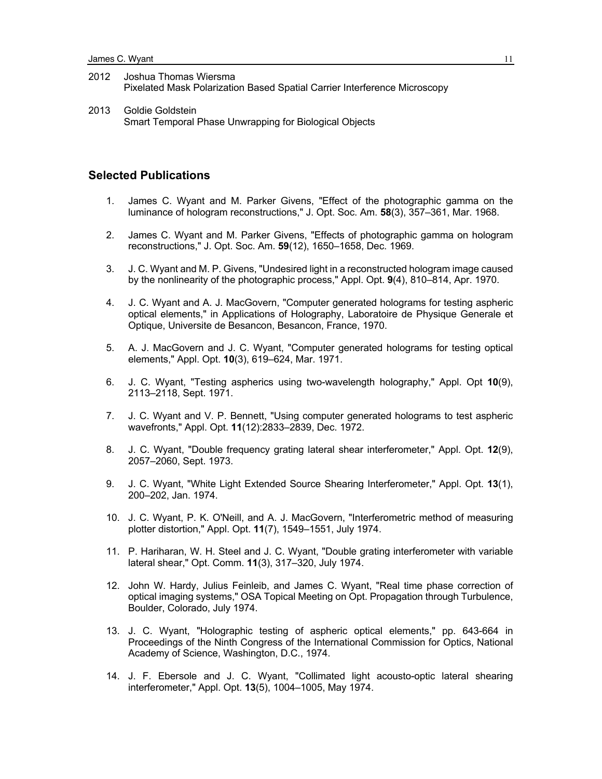- 2012 Joshua Thomas Wiersma Pixelated Mask Polarization Based Spatial Carrier Interference Microscopy
- 2013 Goldie Goldstein Smart Temporal Phase Unwrapping for Biological Objects

## **Selected Publications**

- 1. James C. Wyant and M. Parker Givens, "Effect of the photographic gamma on the luminance of hologram reconstructions," J. Opt. Soc. Am. **58**(3), 357–361, Mar. 1968.
- 2. James C. Wyant and M. Parker Givens, "Effects of photographic gamma on hologram reconstructions," J. Opt. Soc. Am. **59**(12), 1650–1658, Dec. 1969.
- 3. J. C. Wyant and M. P. Givens, "Undesired light in a reconstructed hologram image caused by the nonlinearity of the photographic process," Appl. Opt. **9**(4), 810–814, Apr. 1970.
- 4. J. C. Wyant and A. J. MacGovern, "Computer generated holograms for testing aspheric optical elements," in Applications of Holography, Laboratoire de Physique Generale et Optique, Universite de Besancon, Besancon, France, 1970.
- 5. A. J. MacGovern and J. C. Wyant, "Computer generated holograms for testing optical elements," Appl. Opt. **10**(3), 619–624, Mar. 1971.
- 6. J. C. Wyant, "Testing aspherics using two-wavelength holography," Appl. Opt **10**(9), 2113–2118, Sept. 1971.
- 7. J. C. Wyant and V. P. Bennett, "Using computer generated holograms to test aspheric wavefronts," Appl. Opt. **11**(12):2833–2839, Dec. 1972.
- 8. J. C. Wyant, "Double frequency grating lateral shear interferometer," Appl. Opt. **12**(9), 2057–2060, Sept. 1973.
- 9. J. C. Wyant, "White Light Extended Source Shearing Interferometer," Appl. Opt. **13**(1), 200–202, Jan. 1974.
- 10. J. C. Wyant, P. K. O'Neill, and A. J. MacGovern, "Interferometric method of measuring plotter distortion," Appl. Opt. **11**(7), 1549–1551, July 1974.
- 11. P. Hariharan, W. H. Steel and J. C. Wyant, "Double grating interferometer with variable lateral shear," Opt. Comm. **11**(3), 317–320, July 1974.
- 12. John W. Hardy, Julius Feinleib, and James C. Wyant, "Real time phase correction of optical imaging systems," OSA Topical Meeting on Opt. Propagation through Turbulence, Boulder, Colorado, July 1974.
- 13. J. C. Wyant, "Holographic testing of aspheric optical elements," pp. 643-664 in Proceedings of the Ninth Congress of the International Commission for Optics, National Academy of Science, Washington, D.C., 1974.
- 14. J. F. Ebersole and J. C. Wyant, "Collimated light acousto-optic lateral shearing interferometer," Appl. Opt. **13**(5), 1004–1005, May 1974.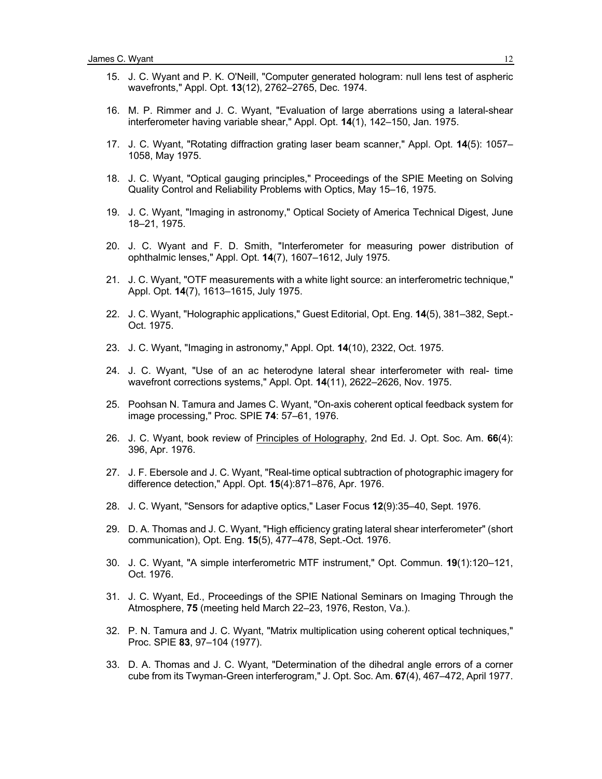- 15. J. C. Wyant and P. K. O'Neill, "Computer generated hologram: null lens test of aspheric wavefronts," Appl. Opt. **13**(12), 2762–2765, Dec. 1974.
- 16. M. P. Rimmer and J. C. Wyant, "Evaluation of large aberrations using a lateral-shear interferometer having variable shear," Appl. Opt. **14**(1), 142–150, Jan. 1975.
- 17. J. C. Wyant, "Rotating diffraction grating laser beam scanner," Appl. Opt. **14**(5): 1057– 1058, May 1975.
- 18. J. C. Wyant, "Optical gauging principles," Proceedings of the SPIE Meeting on Solving Quality Control and Reliability Problems with Optics, May 15–16, 1975.
- 19. J. C. Wyant, "Imaging in astronomy," Optical Society of America Technical Digest, June 18–21, 1975.
- 20. J. C. Wyant and F. D. Smith, "Interferometer for measuring power distribution of ophthalmic lenses," Appl. Opt. **14**(7), 1607–1612, July 1975.
- 21. J. C. Wyant, "OTF measurements with a white light source: an interferometric technique," Appl. Opt. **14**(7), 1613–1615, July 1975.
- 22. J. C. Wyant, "Holographic applications," Guest Editorial, Opt. Eng. **14**(5), 381–382, Sept.- Oct. 1975.
- 23. J. C. Wyant, "Imaging in astronomy," Appl. Opt. **14**(10), 2322, Oct. 1975.
- 24. J. C. Wyant, "Use of an ac heterodyne lateral shear interferometer with real- time wavefront corrections systems," Appl. Opt. **14**(11), 2622–2626, Nov. 1975.
- 25. Poohsan N. Tamura and James C. Wyant, "On-axis coherent optical feedback system for image processing," Proc. SPIE **74**: 57–61, 1976.
- 26. J. C. Wyant, book review of Principles of Holography, 2nd Ed. J. Opt. Soc. Am. **66**(4): 396, Apr. 1976.
- 27. J. F. Ebersole and J. C. Wyant, "Real-time optical subtraction of photographic imagery for difference detection," Appl. Opt. **15**(4):871–876, Apr. 1976.
- 28. J. C. Wyant, "Sensors for adaptive optics," Laser Focus **12**(9):35–40, Sept. 1976.
- 29. D. A. Thomas and J. C. Wyant, "High efficiency grating lateral shear interferometer" (short communication), Opt. Eng. **15**(5), 477–478, Sept.-Oct. 1976.
- 30. J. C. Wyant, "A simple interferometric MTF instrument," Opt. Commun. **19**(1):120–121, Oct. 1976.
- 31. J. C. Wyant, Ed., Proceedings of the SPIE National Seminars on Imaging Through the Atmosphere, **75** (meeting held March 22–23, 1976, Reston, Va.).
- 32. P. N. Tamura and J. C. Wyant, "Matrix multiplication using coherent optical techniques," Proc. SPIE **83**, 97–104 (1977).
- 33. D. A. Thomas and J. C. Wyant, "Determination of the dihedral angle errors of a corner cube from its Twyman-Green interferogram," J. Opt. Soc. Am. **67**(4), 467–472, April 1977.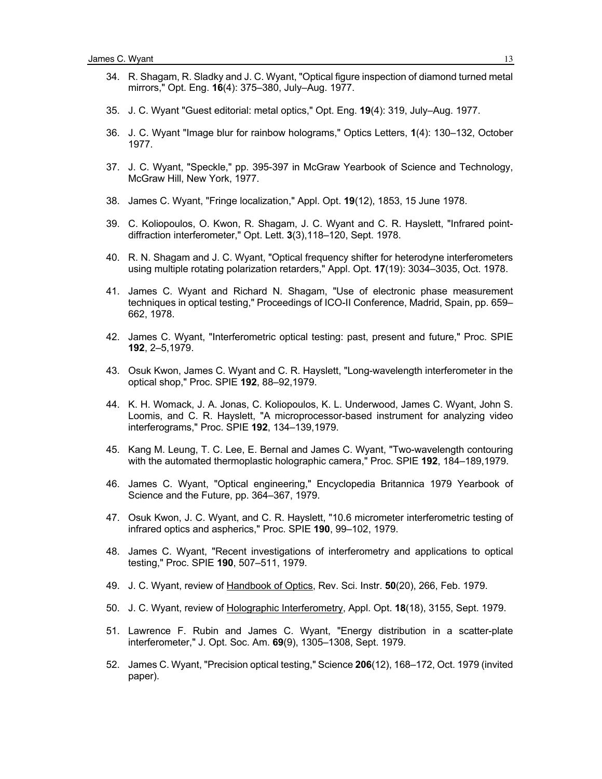- 34. R. Shagam, R. Sladky and J. C. Wyant, "Optical figure inspection of diamond turned metal mirrors," Opt. Eng. **16**(4): 375–380, July–Aug. 1977.
- 35. J. C. Wyant "Guest editorial: metal optics," Opt. Eng. **19**(4): 319, July–Aug. 1977.
- 36. J. C. Wyant "Image blur for rainbow holograms," Optics Letters, **1**(4): 130–132, October 1977.
- 37. J. C. Wyant, "Speckle," pp. 395-397 in McGraw Yearbook of Science and Technology, McGraw Hill, New York, 1977.
- 38. James C. Wyant, "Fringe localization," Appl. Opt. **19**(12), 1853, 15 June 1978.
- 39. C. Koliopoulos, O. Kwon, R. Shagam, J. C. Wyant and C. R. Hayslett, "Infrared pointdiffraction interferometer," Opt. Lett. **3**(3),118–120, Sept. 1978.
- 40. R. N. Shagam and J. C. Wyant, "Optical frequency shifter for heterodyne interferometers using multiple rotating polarization retarders," Appl. Opt. **17**(19): 3034–3035, Oct. 1978.
- 41. James C. Wyant and Richard N. Shagam, "Use of electronic phase measurement techniques in optical testing," Proceedings of ICO-II Conference, Madrid, Spain, pp. 659– 662, 1978.
- 42. James C. Wyant, "Interferometric optical testing: past, present and future," Proc. SPIE **192**, 2–5,1979.
- 43. Osuk Kwon, James C. Wyant and C. R. Hayslett, "Long-wavelength interferometer in the optical shop," Proc. SPIE **192**, 88–92,1979.
- 44. K. H. Womack, J. A. Jonas, C. Koliopoulos, K. L. Underwood, James C. Wyant, John S. Loomis, and C. R. Hayslett, "A microprocessor-based instrument for analyzing video interferograms," Proc. SPIE **192**, 134–139,1979.
- 45. Kang M. Leung, T. C. Lee, E. Bernal and James C. Wyant, "Two-wavelength contouring with the automated thermoplastic holographic camera," Proc. SPIE **192**, 184–189,1979.
- 46. James C. Wyant, "Optical engineering," Encyclopedia Britannica 1979 Yearbook of Science and the Future, pp. 364–367, 1979.
- 47. Osuk Kwon, J. C. Wyant, and C. R. Hayslett, "10.6 micrometer interferometric testing of infrared optics and aspherics," Proc. SPIE **190**, 99–102, 1979.
- 48. James C. Wyant, "Recent investigations of interferometry and applications to optical testing," Proc. SPIE **190**, 507–511, 1979.
- 49. J. C. Wyant, review of Handbook of Optics, Rev. Sci. Instr. **50**(20), 266, Feb. 1979.
- 50. J. C. Wyant, review of Holographic Interferometry, Appl. Opt. **18**(18), 3155, Sept. 1979.
- 51. Lawrence F. Rubin and James C. Wyant, "Energy distribution in a scatter-plate interferometer," J. Opt. Soc. Am. **69**(9), 1305–1308, Sept. 1979.
- 52. James C. Wyant, "Precision optical testing," Science **206**(12), 168–172, Oct. 1979 (invited paper).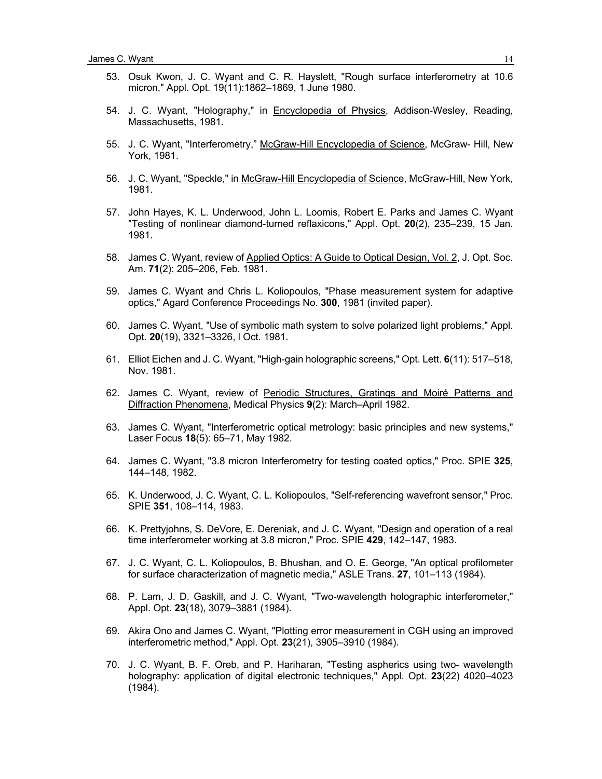- 53. Osuk Kwon, J. C. Wyant and C. R. Hayslett, "Rough surface interferometry at 10.6 micron," Appl. Opt. 19(11):1862–1869, 1 June 1980.
- 54. J. C. Wyant, "Holography," in Encyclopedia of Physics, Addison-Wesley, Reading, Massachusetts, 1981.
- 55. J. C. Wyant, "Interferometry," McGraw-Hill Encyclopedia of Science, McGraw- Hill, New York, 1981.
- 56. J. C. Wyant, "Speckle," in McGraw-Hill Encyclopedia of Science, McGraw-Hill, New York, 1981.
- 57. John Hayes, K. L. Underwood, John L. Loomis, Robert E. Parks and James C. Wyant "Testing of nonlinear diamond-turned reflaxicons," Appl. Opt. **20**(2), 235–239, 15 Jan. 1981.
- 58. James C. Wyant, review of Applied Optics: A Guide to Optical Design, Vol. 2, J. Opt. Soc. Am. **71**(2): 205–206, Feb. 1981.
- 59. James C. Wyant and Chris L. Koliopoulos, "Phase measurement system for adaptive optics," Agard Conference Proceedings No. **300**, 1981 (invited paper).
- 60. James C. Wyant, "Use of symbolic math system to solve polarized light problems," Appl. Opt. **20**(19), 3321–3326, l Oct. 1981.
- 61. Elliot Eichen and J. C. Wyant, "High-gain holographic screens," Opt. Lett. **6**(11): 517–518, Nov. 1981.
- 62. James C. Wyant, review of Periodic Structures, Gratings and Moiré Patterns and Diffraction Phenomena, Medical Physics **9**(2): March–April 1982.
- 63. James C. Wyant, "Interferometric optical metrology: basic principles and new systems," Laser Focus **18**(5): 65–71, May 1982.
- 64. James C. Wyant, "3.8 micron Interferometry for testing coated optics," Proc. SPIE **325**, 144–148, 1982.
- 65. K. Underwood, J. C. Wyant, C. L. Koliopoulos, "Self-referencing wavefront sensor," Proc. SPIE **351**, 108–114, 1983.
- 66. K. Prettyjohns, S. DeVore, E. Dereniak, and J. C. Wyant, "Design and operation of a real time interferometer working at 3.8 micron," Proc. SPIE **429**, 142–147, 1983.
- 67. J. C. Wyant, C. L. Koliopoulos, B. Bhushan, and O. E. George, "An optical profilometer for surface characterization of magnetic media," ASLE Trans. **27**, 101–113 (1984).
- 68. P. Lam, J. D. Gaskill, and J. C. Wyant, "Two-wavelength holographic interferometer," Appl. Opt. **23**(18), 3079–3881 (1984).
- 69. Akira Ono and James C. Wyant, "Plotting error measurement in CGH using an improved interferometric method," Appl. Opt. **23**(21), 3905–3910 (1984).
- 70. J. C. Wyant, B. F. Oreb, and P. Hariharan, "Testing aspherics using two- wavelength holography: application of digital electronic techniques," Appl. Opt. **23**(22) 4020–4023 (1984).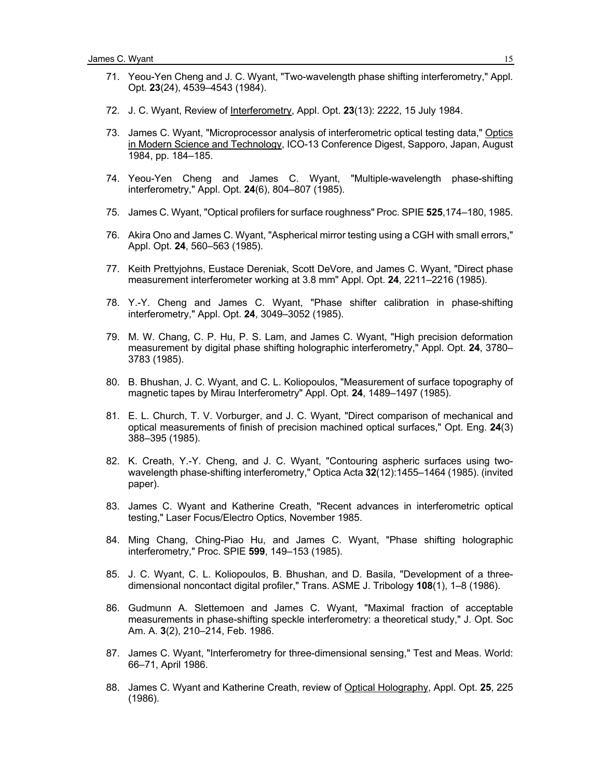- 71. Yeou-Yen Cheng and J. C. Wyant, "Two-wavelength phase shifting interferometry," Appl. Opt. **23**(24), 4539–4543 (1984).
- 72. J. C. Wyant, Review of Interferometry, Appl. Opt. **23**(13): 2222, 15 July 1984.
- 73. James C. Wyant, "Microprocessor analysis of interferometric optical testing data," Optics in Modern Science and Technology, ICO-13 Conference Digest, Sapporo, Japan, August 1984, pp. 184–185.
- 74. Yeou-Yen Cheng and James C. Wyant, "Multiple-wavelength phase-shifting interferometry," Appl. Opt. **24**(6), 804–807 (1985).
- 75. James C. Wyant, "Optical profilers for surface roughness" Proc. SPIE **525**,174–180, 1985.
- 76. Akira Ono and James C. Wyant, "Aspherical mirror testing using a CGH with small errors," Appl. Opt. **24**, 560–563 (1985).
- 77. Keith Prettyjohns, Eustace Dereniak, Scott DeVore, and James C. Wyant, "Direct phase measurement interferometer working at 3.8 mm" Appl. Opt. **24**, 2211–2216 (1985).
- 78. Y.-Y. Cheng and James C. Wyant, "Phase shifter calibration in phase-shifting interferometry," Appl. Opt. **24**, 3049–3052 (1985).
- 79. M. W. Chang, C. P. Hu, P. S. Lam, and James C. Wyant, "High precision deformation measurement by digital phase shifting holographic interferometry," Appl. Opt. **24**, 3780– 3783 (1985).
- 80. B. Bhushan, J. C. Wyant, and C. L. Koliopoulos, "Measurement of surface topography of magnetic tapes by Mirau Interferometry" Appl. Opt. **24**, 1489–1497 (1985).
- 81. E. L. Church, T. V. Vorburger, and J. C. Wyant, "Direct comparison of mechanical and optical measurements of finish of precision machined optical surfaces," Opt. Eng. **24**(3) 388–395 (1985).
- 82. K. Creath, Y.-Y. Cheng, and J. C. Wyant, "Contouring aspheric surfaces using twowavelength phase-shifting interferometry," Optica Acta **32**(12):1455–1464 (1985). (invited paper).
- 83. James C. Wyant and Katherine Creath, "Recent advances in interferometric optical testing," Laser Focus/Electro Optics, November 1985.
- 84. Ming Chang, Ching-Piao Hu, and James C. Wyant, "Phase shifting holographic interferometry," Proc. SPIE **599**, 149–153 (1985).
- 85. J. C. Wyant, C. L. Koliopoulos, B. Bhushan, and D. Basila, "Development of a threedimensional noncontact digital profiler," Trans. ASME J. Tribology **108**(1), 1–8 (1986).
- 86. Gudmunn A. Slettemoen and James C. Wyant, "Maximal fraction of acceptable measurements in phase-shifting speckle interferometry: a theoretical study," J. Opt. Soc Am. A. **3**(2), 210–214, Feb. 1986.
- 87. James C. Wyant, "Interferometry for three-dimensional sensing," Test and Meas. World: 66–71, April 1986.
- 88. James C. Wyant and Katherine Creath, review of Optical Holography, Appl. Opt. **25**, 225 (1986).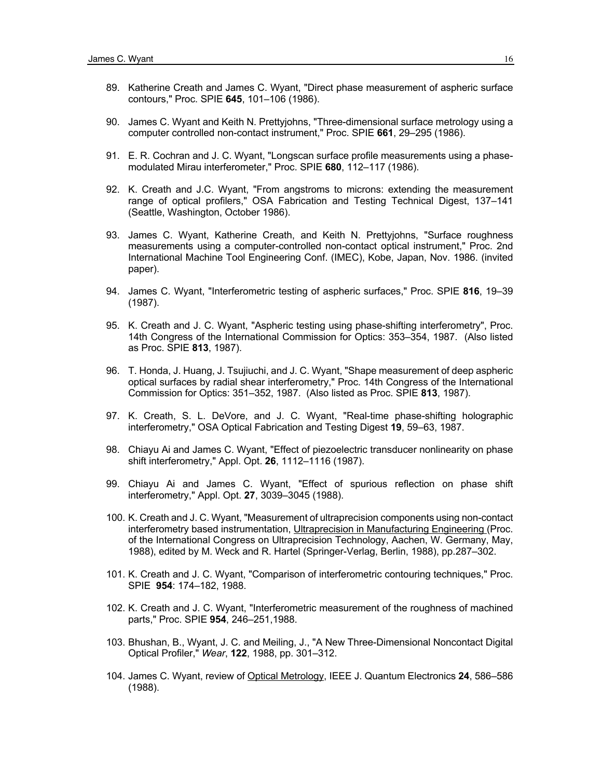- 89. Katherine Creath and James C. Wyant, "Direct phase measurement of aspheric surface contours," Proc. SPIE **645**, 101–106 (1986).
- 90. James C. Wyant and Keith N. Prettyjohns, "Three-dimensional surface metrology using a computer controlled non-contact instrument," Proc. SPIE **661**, 29–295 (1986).
- 91. E. R. Cochran and J. C. Wyant, "Longscan surface profile measurements using a phasemodulated Mirau interferometer," Proc. SPIE **680**, 112–117 (1986).
- 92. K. Creath and J.C. Wyant, "From angstroms to microns: extending the measurement range of optical profilers," OSA Fabrication and Testing Technical Digest, 137–141 (Seattle, Washington, October 1986).
- 93. James C. Wyant, Katherine Creath, and Keith N. Prettyjohns, "Surface roughness measurements using a computer-controlled non-contact optical instrument," Proc. 2nd International Machine Tool Engineering Conf. (IMEC), Kobe, Japan, Nov. 1986. (invited paper).
- 94. James C. Wyant, "Interferometric testing of aspheric surfaces," Proc. SPIE **816**, 19–39 (1987).
- 95. K. Creath and J. C. Wyant, "Aspheric testing using phase-shifting interferometry", Proc. 14th Congress of the International Commission for Optics: 353–354, 1987. (Also listed as Proc. SPIE **813**, 1987).
- 96. T. Honda, J. Huang, J. Tsujiuchi, and J. C. Wyant, "Shape measurement of deep aspheric optical surfaces by radial shear interferometry," Proc. 14th Congress of the International Commission for Optics: 351–352, 1987. (Also listed as Proc. SPIE **813**, 1987).
- 97. K. Creath, S. L. DeVore, and J. C. Wyant, "Real-time phase-shifting holographic interferometry," OSA Optical Fabrication and Testing Digest **19**, 59–63, 1987.
- 98. Chiayu Ai and James C. Wyant, "Effect of piezoelectric transducer nonlinearity on phase shift interferometry," Appl. Opt. **26**, 1112–1116 (1987).
- 99. Chiayu Ai and James C. Wyant, "Effect of spurious reflection on phase shift interferometry," Appl. Opt. **27**, 3039–3045 (1988).
- 100. K. Creath and J. C. Wyant, "Measurement of ultraprecision components using non-contact interferometry based instrumentation, Ultraprecision in Manufacturing Engineering (Proc. of the International Congress on Ultraprecision Technology, Aachen, W. Germany, May, 1988), edited by M. Weck and R. Hartel (Springer-Verlag, Berlin, 1988), pp.287–302.
- 101. K. Creath and J. C. Wyant, "Comparison of interferometric contouring techniques," Proc. SPIE **954**: 174–182, 1988.
- 102. K. Creath and J. C. Wyant, "Interferometric measurement of the roughness of machined parts," Proc. SPIE **954**, 246–251,1988.
- 103. Bhushan, B., Wyant, J. C. and Meiling, J., "A New Three-Dimensional Noncontact Digital Optical Profiler," *Wear*, **122**, 1988, pp. 301–312.
- 104. James C. Wyant, review of Optical Metrology, IEEE J. Quantum Electronics **24**, 586–586 (1988).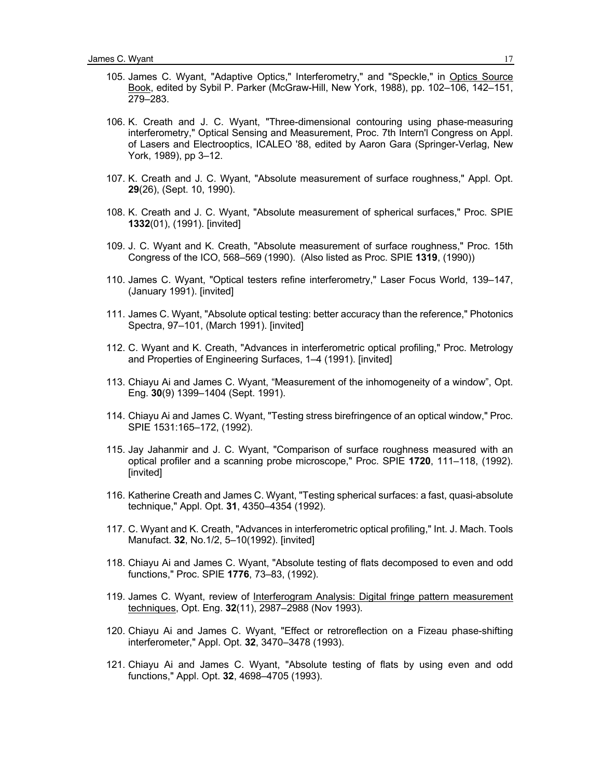- 105. James C. Wyant, "Adaptive Optics," Interferometry," and "Speckle," in Optics Source Book, edited by Sybil P. Parker (McGraw-Hill, New York, 1988), pp. 102–106, 142–151, 279–283.
- 106. K. Creath and J. C. Wyant, "Three-dimensional contouring using phase-measuring interferometry," Optical Sensing and Measurement, Proc. 7th Intern'l Congress on Appl. of Lasers and Electrooptics, ICALEO '88, edited by Aaron Gara (Springer-Verlag, New York, 1989), pp 3–12.
- 107. K. Creath and J. C. Wyant, "Absolute measurement of surface roughness," Appl. Opt. **29**(26), (Sept. 10, 1990).
- 108. K. Creath and J. C. Wyant, "Absolute measurement of spherical surfaces," Proc. SPIE **1332**(01), (1991). [invited]
- 109. J. C. Wyant and K. Creath, "Absolute measurement of surface roughness," Proc. 15th Congress of the ICO, 568–569 (1990). (Also listed as Proc. SPIE **1319**, (1990))
- 110. James C. Wyant, "Optical testers refine interferometry," Laser Focus World, 139–147, (January 1991). [invited]
- 111. James C. Wyant, "Absolute optical testing: better accuracy than the reference," Photonics Spectra, 97–101, (March 1991). [invited]
- 112. C. Wyant and K. Creath, "Advances in interferometric optical profiling," Proc. Metrology and Properties of Engineering Surfaces, 1–4 (1991). [invited]
- 113. Chiayu Ai and James C. Wyant, "Measurement of the inhomogeneity of a window", Opt. Eng. **30**(9) 1399–1404 (Sept. 1991).
- 114. Chiayu Ai and James C. Wyant, "Testing stress birefringence of an optical window," Proc. SPIE 1531:165–172, (1992).
- 115. Jay Jahanmir and J. C. Wyant, "Comparison of surface roughness measured with an optical profiler and a scanning probe microscope," Proc. SPIE **1720**, 111–118, (1992). [invited]
- 116. Katherine Creath and James C. Wyant, "Testing spherical surfaces: a fast, quasi-absolute technique," Appl. Opt. **31**, 4350–4354 (1992).
- 117. C. Wyant and K. Creath, "Advances in interferometric optical profiling," Int. J. Mach. Tools Manufact. **32**, No.1/2, 5–10(1992). [invited]
- 118. Chiayu Ai and James C. Wyant, "Absolute testing of flats decomposed to even and odd functions," Proc. SPIE **1776**, 73–83, (1992).
- 119. James C. Wyant, review of Interferogram Analysis: Digital fringe pattern measurement techniques, Opt. Eng. **32**(11), 2987–2988 (Nov 1993).
- 120. Chiayu Ai and James C. Wyant, "Effect or retroreflection on a Fizeau phase-shifting interferometer," Appl. Opt. **32**, 3470–3478 (1993).
- 121. Chiayu Ai and James C. Wyant, "Absolute testing of flats by using even and odd functions," Appl. Opt. **32**, 4698–4705 (1993).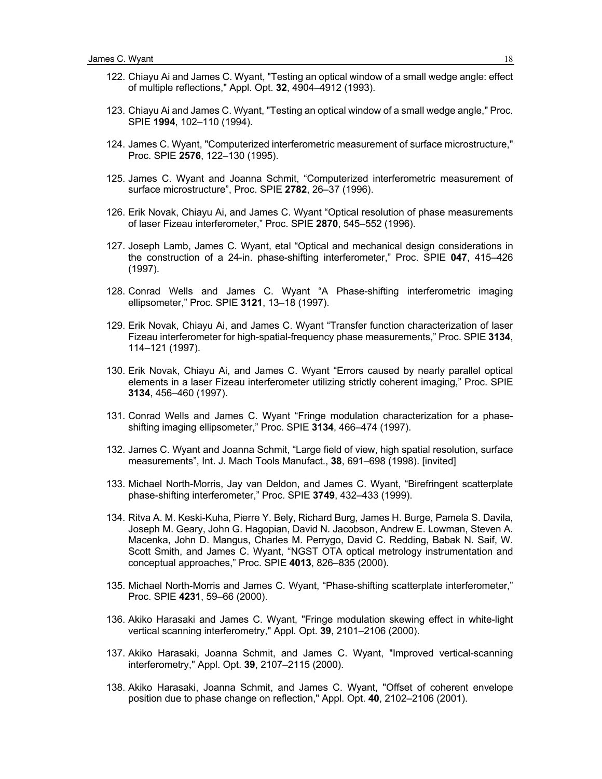- 122. Chiayu Ai and James C. Wyant, "Testing an optical window of a small wedge angle: effect of multiple reflections," Appl. Opt. **32**, 4904–4912 (1993).
- 123. Chiayu Ai and James C. Wyant, "Testing an optical window of a small wedge angle," Proc. SPIE **1994**, 102–110 (1994).
- 124. James C. Wyant, "Computerized interferometric measurement of surface microstructure," Proc. SPIE **2576**, 122–130 (1995).
- 125. James C. Wyant and Joanna Schmit, "Computerized interferometric measurement of surface microstructure", Proc. SPIE **2782**, 26–37 (1996).
- 126. Erik Novak, Chiayu Ai, and James C. Wyant "Optical resolution of phase measurements of laser Fizeau interferometer," Proc. SPIE **2870**, 545–552 (1996).
- 127. Joseph Lamb, James C. Wyant, etal "Optical and mechanical design considerations in the construction of a 24-in. phase-shifting interferometer," Proc. SPIE **047**, 415–426 (1997).
- 128. Conrad Wells and James C. Wyant "A Phase-shifting interferometric imaging ellipsometer," Proc. SPIE **3121**, 13–18 (1997).
- 129. Erik Novak, Chiayu Ai, and James C. Wyant "Transfer function characterization of laser Fizeau interferometer for high-spatial-frequency phase measurements," Proc. SPIE **3134**, 114–121 (1997).
- 130. Erik Novak, Chiayu Ai, and James C. Wyant "Errors caused by nearly parallel optical elements in a laser Fizeau interferometer utilizing strictly coherent imaging," Proc. SPIE **3134**, 456–460 (1997).
- 131. Conrad Wells and James C. Wyant "Fringe modulation characterization for a phaseshifting imaging ellipsometer," Proc. SPIE **3134**, 466–474 (1997).
- 132. James C. Wyant and Joanna Schmit, "Large field of view, high spatial resolution, surface measurements", Int. J. Mach Tools Manufact., **38**, 691–698 (1998). [invited]
- 133. Michael North-Morris, Jay van Deldon, and James C. Wyant, "Birefringent scatterplate phase-shifting interferometer," Proc. SPIE **3749**, 432–433 (1999).
- 134. Ritva A. M. Keski-Kuha, Pierre Y. Bely, Richard Burg, James H. Burge, Pamela S. Davila, Joseph M. Geary, John G. Hagopian, David N. Jacobson, Andrew E. Lowman, Steven A. Macenka, John D. Mangus, Charles M. Perrygo, David C. Redding, Babak N. Saif, W. Scott Smith, and James C. Wyant, "NGST OTA optical metrology instrumentation and conceptual approaches," Proc. SPIE **4013**, 826–835 (2000).
- 135. Michael North-Morris and James C. Wyant, "Phase-shifting scatterplate interferometer," Proc. SPIE **4231**, 59–66 (2000).
- 136. Akiko Harasaki and James C. Wyant, "Fringe modulation skewing effect in white-light vertical scanning interferometry," Appl. Opt. **39**, 2101–2106 (2000).
- 137. Akiko Harasaki, Joanna Schmit, and James C. Wyant, "Improved vertical-scanning interferometry," Appl. Opt. **39**, 2107–2115 (2000).
- 138. Akiko Harasaki, Joanna Schmit, and James C. Wyant, "Offset of coherent envelope position due to phase change on reflection," Appl. Opt. **40**, 2102–2106 (2001).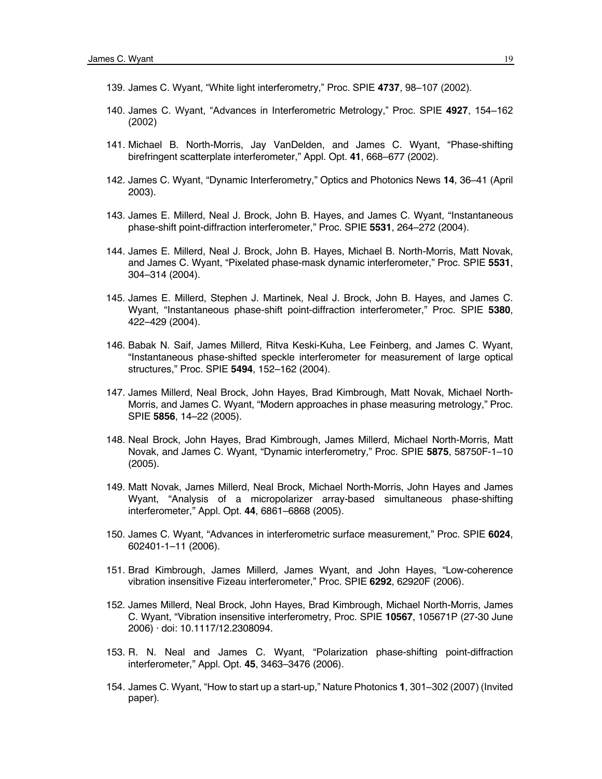- 139. James C. Wyant, "White light interferometry," Proc. SPIE **4737**, 98–107 (2002).
- 140. James C. Wyant, "Advances in Interferometric Metrology," Proc. SPIE **4927**, 154–162 (2002)
- 141. Michael B. North-Morris, Jay VanDelden, and James C. Wyant, "Phase-shifting birefringent scatterplate interferometer," Appl. Opt. **41**, 668–677 (2002).
- 142. James C. Wyant, "Dynamic Interferometry," Optics and Photonics News **14**, 36–41 (April 2003).
- 143. James E. Millerd, Neal J. Brock, John B. Hayes, and James C. Wyant, "Instantaneous phase-shift point-diffraction interferometer," Proc. SPIE **5531**, 264–272 (2004).
- 144. James E. Millerd, Neal J. Brock, John B. Hayes, Michael B. North-Morris, Matt Novak, and James C. Wyant, "Pixelated phase-mask dynamic interferometer," Proc. SPIE **5531**, 304–314 (2004).
- 145. James E. Millerd, Stephen J. Martinek, Neal J. Brock, John B. Hayes, and James C. Wyant, "Instantaneous phase-shift point-diffraction interferometer," Proc. SPIE **5380**, 422–429 (2004).
- 146. Babak N. Saif, James Millerd, Ritva Keski-Kuha, Lee Feinberg, and James C. Wyant, "Instantaneous phase-shifted speckle interferometer for measurement of large optical structures," Proc. SPIE **5494**, 152–162 (2004).
- 147. James Millerd, Neal Brock, John Hayes, Brad Kimbrough, Matt Novak, Michael North-Morris, and James C. Wyant, "Modern approaches in phase measuring metrology," Proc. SPIE **5856**, 14–22 (2005).
- 148. Neal Brock, John Hayes, Brad Kimbrough, James Millerd, Michael North-Morris, Matt Novak, and James C. Wyant, "Dynamic interferometry," Proc. SPIE **5875**, 58750F-1–10 (2005).
- 149. Matt Novak, James Millerd, Neal Brock, Michael North-Morris, John Hayes and James Wyant, "Analysis of a micropolarizer array-based simultaneous phase-shifting interferometer," Appl. Opt. **44**, 6861–6868 (2005).
- 150. James C. Wyant, "Advances in interferometric surface measurement," Proc. SPIE **6024**, 602401-1–11 (2006).
- 151. Brad Kimbrough, James Millerd, James Wyant, and John Hayes, "Low-coherence vibration insensitive Fizeau interferometer," Proc. SPIE **6292**, 62920F (2006).
- 152. James Millerd, Neal Brock, John Hayes, Brad Kimbrough, Michael North-Morris, James C. Wyant, "Vibration insensitive interferometry, Proc. SPIE **10567**, 105671P (27-30 June 2006) · doi: 10.1117/12.2308094.
- 153. R. N. Neal and James C. Wyant, "Polarization phase-shifting point-diffraction interferometer," Appl. Opt. **45**, 3463–3476 (2006).
- 154. James C. Wyant, "How to start up a start-up," Nature Photonics **1**, 301–302 (2007) (Invited paper).